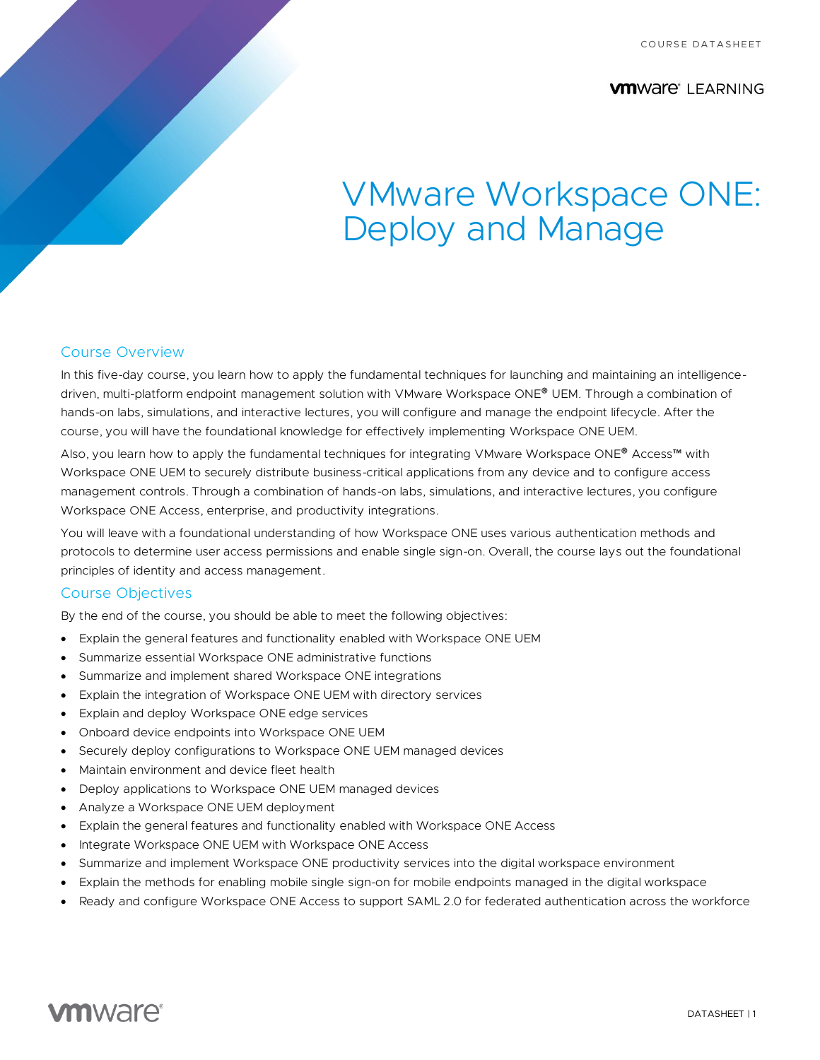**VMWAre** LEARNING

# VMware Workspace ONE: Deploy and Manage

### Course Overview

In this five-day course, you learn how to apply the fundamental techniques for launching and maintaining an intelligencedriven, multi-platform endpoint management solution with VMware Workspace ONE® UEM. Through a combination of hands-on labs, simulations, and interactive lectures, you will configure and manage the endpoint lifecycle. After the course, you will have the foundational knowledge for effectively implementing Workspace ONE UEM.

Also, you learn how to apply the fundamental techniques for integrating VMware Workspace ONE® Access™ with Workspace ONE UEM to securely distribute business-critical applications from any device and to configure access management controls. Through a combination of hands-on labs, simulations, and interactive lectures, you configure Workspace ONE Access, enterprise, and productivity integrations.

You will leave with a foundational understanding of how Workspace ONE uses various authentication methods and protocols to determine user access permissions and enable single sign-on. Overall, the course lays out the foundational principles of identity and access management.

#### Course Objectives

By the end of the course, you should be able to meet the following objectives:

- Explain the general features and functionality enabled with Workspace ONE UEM
- Summarize essential Workspace ONE administrative functions
- Summarize and implement shared Workspace ONE integrations
- Explain the integration of Workspace ONE UEM with directory services
- Explain and deploy Workspace ONE edge services
- Onboard device endpoints into Workspace ONE UEM
- Securely deploy configurations to Workspace ONE UEM managed devices
- Maintain environment and device fleet health
- Deploy applications to Workspace ONE UEM managed devices
- Analyze a Workspace ONE UEM deployment
- Explain the general features and functionality enabled with Workspace ONE Access
- Integrate Workspace ONE UEM with Workspace ONE Access
- Summarize and implement Workspace ONE productivity services into the digital workspace environment
- Explain the methods for enabling mobile single sign-on for mobile endpoints managed in the digital workspace
- Ready and configure Workspace ONE Access to support SAML 2.0 for federated authentication across the workforce

# **vm**ware<sup>®</sup>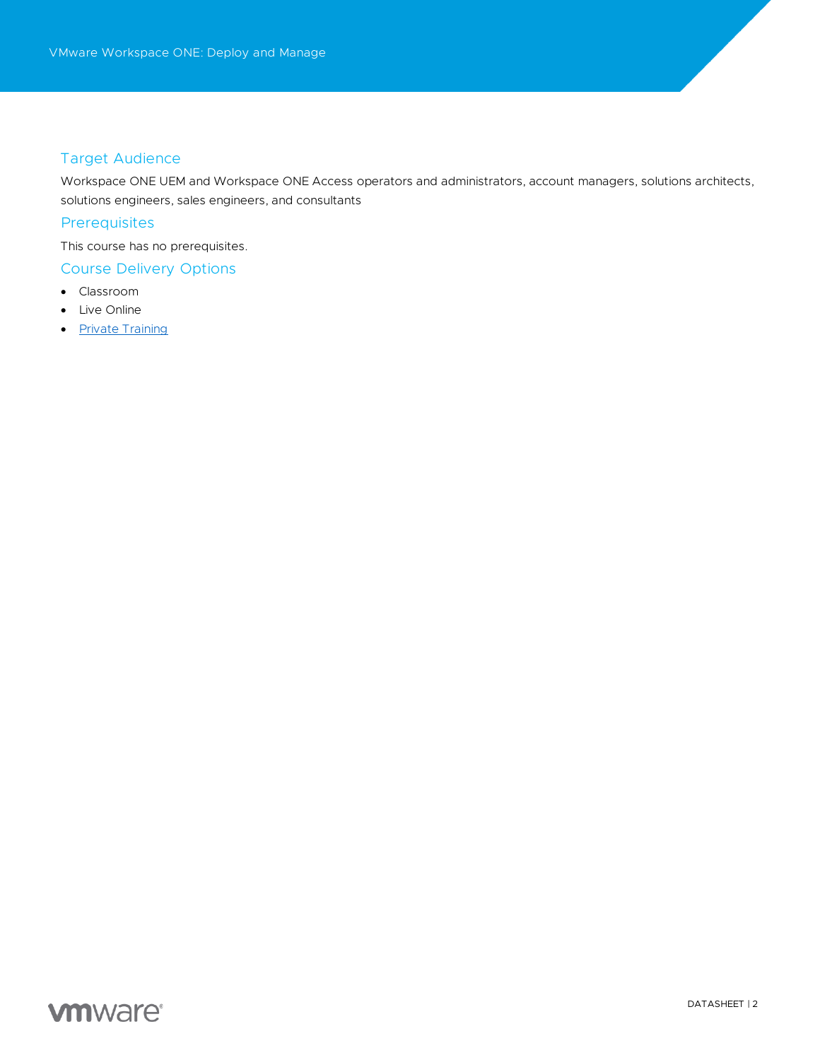# Target Audience

Workspace ONE UEM and Workspace ONE Access operators and administrators, account managers, solutions architects, solutions engineers, sales engineers, and consultants

### **Prerequisites**

This course has no prerequisites.

# Course Delivery Options

- Classroom
- Live Online
- [Private Training](https://mylearn.vmware.com/mgrReg/plan.cfm?plan=38045&ui=www_edu)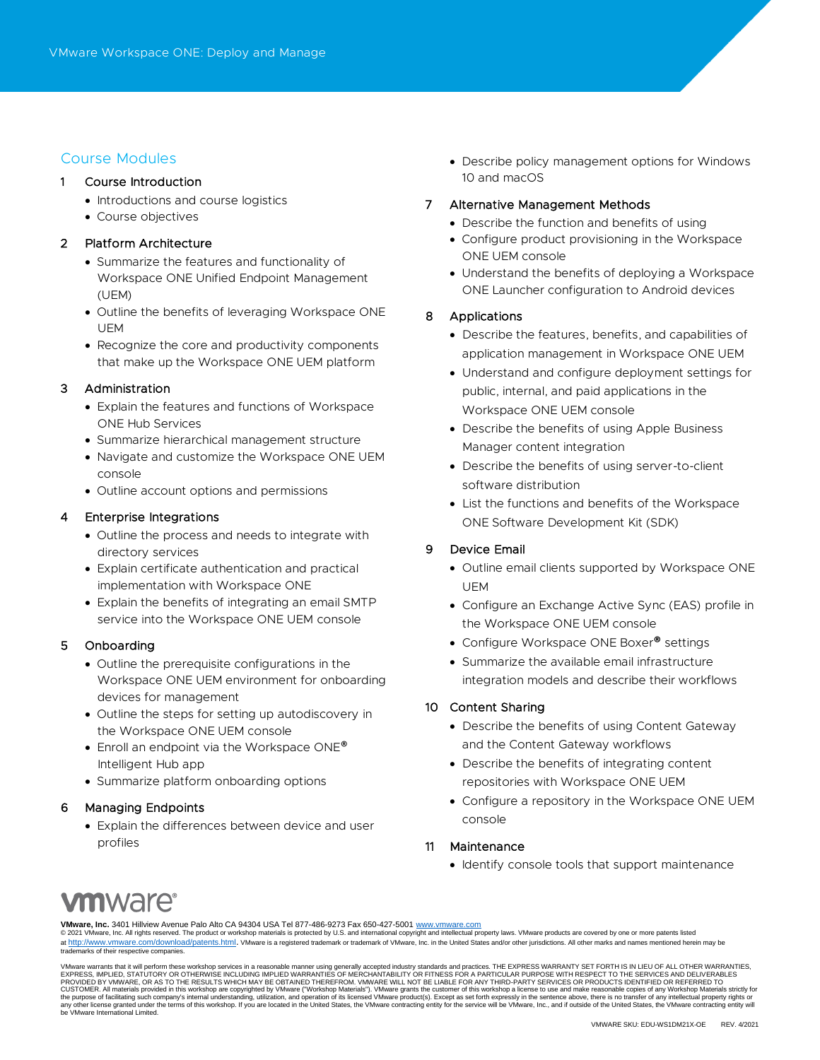# Course Modules

#### 1 Course Introduction

- Introductions and course logistics
- Course objectives

### 2 Platform Architecture

- Summarize the features and functionality of Workspace ONE Unified Endpoint Management (UEM)
- Outline the benefits of leveraging Workspace ONE UEM
- Recognize the core and productivity components that make up the Workspace ONE UEM platform

#### 3 Administration

- Explain the features and functions of Workspace ONE Hub Services
- Summarize hierarchical management structure
- Navigate and customize the Workspace ONE UEM console
- Outline account options and permissions

#### 4 Enterprise Integrations

- Outline the process and needs to integrate with directory services
- Explain certificate authentication and practical implementation with Workspace ONE
- Explain the benefits of integrating an email SMTP service into the Workspace ONE UEM console

#### 5 Onboarding

- Outline the prerequisite configurations in the Workspace ONE UEM environment for onboarding devices for management
- Outline the steps for setting up autodiscovery in the Workspace ONE UEM console
- Enroll an endpoint via the Workspace ONE® Intelligent Hub app
- Summarize platform onboarding options

#### 6 Managing Endpoints

• Explain the differences between device and user profiles

• Describe policy management options for Windows 10 and macOS

#### 7 Alternative Management Methods

- Describe the function and benefits of using
- Configure product provisioning in the Workspace ONE UEM console
- Understand the benefits of deploying a Workspace ONE Launcher configuration to Android devices

### 8 Applications

- Describe the features, benefits, and capabilities of application management in Workspace ONE UEM
- Understand and configure deployment settings for public, internal, and paid applications in the Workspace ONE UEM console
- Describe the benefits of using Apple Business Manager content integration
- Describe the benefits of using server-to-client software distribution
- List the functions and benefits of the Workspace ONE Software Development Kit (SDK)

# 9 Device Email

- Outline email clients supported by Workspace ONE UEM
- Configure an Exchange Active Sync (EAS) profile in the Workspace ONE UEM console
- Configure Workspace ONE Boxer**®** settings
- Summarize the available email infrastructure integration models and describe their workflows

#### 10 Content Sharing

- Describe the benefits of using Content Gateway and the Content Gateway workflows
- Describe the benefits of integrating content repositories with Workspace ONE UEM
- Configure a repository in the Workspace ONE UEM console

#### 11 Maintenance

• Identify console tools that support maintenance

# **m**ware<sup>.</sup>

**VMware, Inc.** 3401 Hillview Avenue Palo Alto CA 94304 USA Tel 877-486-9273 Fax 650-427-5001 <u>[www.vmware.com](http://www.vmware.com/)</u><br>© 2021 VMware, Inc. All rights reserved. The product or workshop materials is protected by U.S. and internationa

at <http://www.vmware.com/download/patents.html>. VMware is a registered trademark or trademark of VMware, Inc. in the United States and/or other jurisdictions. All other marks and names mentioned herein may be trademarks of their respective companies.

VMware warrants that it will perform these workshop services in a reasonable manner using generally accepted industry standards and practices. THE RETARESS WARRANTIES, EXPRESS, WARRANTIES (NARRANTIES IN LIEU OF ALL OTHE NE any other license granted under the terms of this workshop. If you are located in the United States, the VMware contracting entity for the service will be VMware, Inc., and if outside of the United States, the VMware contr